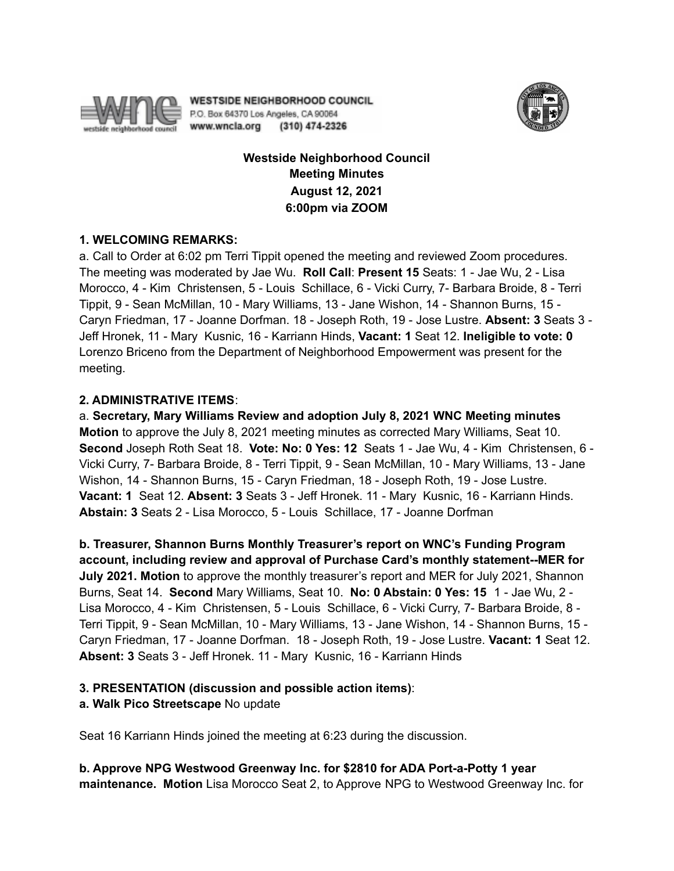

**WESTSIDE NEIGHBORHOOD COUNCIL** P.O. Box 64370 Los Angeles, CA 90064 www.wncla.org (310) 474-2326



# **Westside Neighborhood Council Meeting Minutes August 12, 2021 6:00pm via ZOOM**

## **1. WELCOMING REMARKS:**

a. Call to Order at 6:02 pm Terri Tippit opened the meeting and reviewed Zoom procedures. The meeting was moderated by Jae Wu. **Roll Call**: **Present 15** Seats: 1 - Jae Wu, 2 - Lisa Morocco, 4 - Kim Christensen, 5 - Louis Schillace, 6 - Vicki Curry, 7- Barbara Broide, 8 - Terri Tippit, 9 - Sean McMillan, 10 - Mary Williams, 13 - Jane Wishon, 14 - Shannon Burns, 15 - Caryn Friedman, 17 - Joanne Dorfman. 18 - Joseph Roth, 19 - Jose Lustre. **Absent: 3** Seats 3 - Jeff Hronek, 11 - Mary Kusnic, 16 - Karriann Hinds, **Vacant: 1** Seat 12. **Ineligible to vote: 0** Lorenzo Briceno from the Department of Neighborhood Empowerment was present for the meeting.

## **2. ADMINISTRATIVE ITEMS**:

a. **Secretary, Mary Williams Review and adoption July 8, 2021 WNC Meeting minutes Motion** to approve the July 8, 2021 meeting minutes as corrected Mary Williams, Seat 10. **Second** Joseph Roth Seat 18. **Vote: No: 0 Yes: 12** Seats 1 - Jae Wu, 4 - Kim Christensen, 6 - Vicki Curry, 7- Barbara Broide, 8 - Terri Tippit, 9 - Sean McMillan, 10 - Mary Williams, 13 - Jane Wishon, 14 - Shannon Burns, 15 - Caryn Friedman, 18 - Joseph Roth, 19 - Jose Lustre. **Vacant: 1** Seat 12. **Absent: 3** Seats 3 - Jeff Hronek. 11 - Mary Kusnic, 16 - Karriann Hinds. **Abstain: 3** Seats 2 - Lisa Morocco, 5 - Louis Schillace, 17 - Joanne Dorfman

**b. Treasurer, Shannon Burns Monthly Treasurer's report on WNC's Funding Program account, including review and approval of Purchase Card's monthly statement--MER for July 2021. Motion** to approve the monthly treasurer's report and MER for July 2021, Shannon Burns, Seat 14. **Second** Mary Williams, Seat 10. **No: 0 Abstain: 0 Yes: 15** 1 - Jae Wu, 2 - Lisa Morocco, 4 - Kim Christensen, 5 - Louis Schillace, 6 - Vicki Curry, 7- Barbara Broide, 8 - Terri Tippit, 9 - Sean McMillan, 10 - Mary Williams, 13 - Jane Wishon, 14 - Shannon Burns, 15 - Caryn Friedman, 17 - Joanne Dorfman. 18 - Joseph Roth, 19 - Jose Lustre. **Vacant: 1** Seat 12. **Absent: 3** Seats 3 - Jeff Hronek. 11 - Mary Kusnic, 16 - Karriann Hinds

## **3. PRESENTATION (discussion and possible action items)**:

## **a. Walk Pico Streetscape** No update

Seat 16 Karriann Hinds joined the meeting at 6:23 during the discussion.

**b. Approve NPG Westwood Greenway Inc. for \$2810 for ADA Port-a-Potty 1 year maintenance. Motion** Lisa Morocco Seat 2, to Approve NPG to Westwood Greenway Inc. for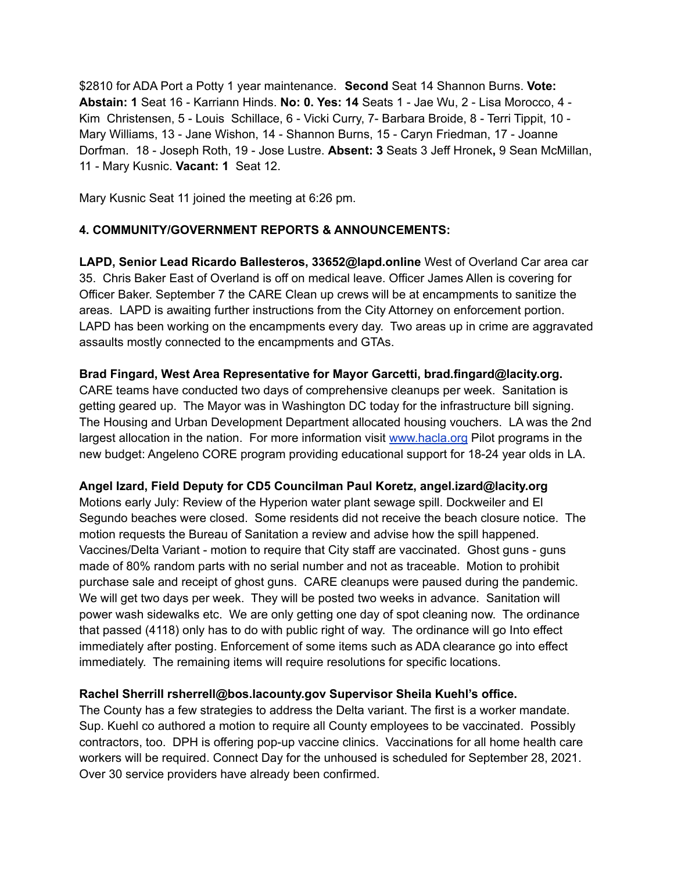\$2810 for ADA Port a Potty 1 year maintenance. **Second** Seat 14 Shannon Burns. **Vote: Abstain: 1** Seat 16 - Karriann Hinds. **No: 0. Yes: 14** Seats 1 - Jae Wu, 2 - Lisa Morocco, 4 - Kim Christensen, 5 - Louis Schillace, 6 - Vicki Curry, 7- Barbara Broide, 8 - Terri Tippit, 10 - Mary Williams, 13 - Jane Wishon, 14 - Shannon Burns, 15 - Caryn Friedman, 17 - Joanne Dorfman. 18 - Joseph Roth, 19 - Jose Lustre. **Absent: 3** Seats 3 Jeff Hronek**,** 9 Sean McMillan, 11 - Mary Kusnic. **Vacant: 1** Seat 12.

Mary Kusnic Seat 11 joined the meeting at 6:26 pm.

## **4. COMMUNITY/GOVERNMENT REPORTS & ANNOUNCEMENTS:**

**LAPD, Senior Lead Ricardo Ballesteros, 33652@lapd.online** West of Overland Car area car 35. Chris Baker East of Overland is off on medical leave. Officer James Allen is covering for Officer Baker. September 7 the CARE Clean up crews will be at encampments to sanitize the areas. LAPD is awaiting further instructions from the City Attorney on enforcement portion. LAPD has been working on the encampments every day. Two areas up in crime are aggravated assaults mostly connected to the encampments and GTAs.

## **Brad Fingard, West Area Representative for Mayor Garcetti, brad.fingard@lacity.org.**

CARE teams have conducted two days of comprehensive cleanups per week. Sanitation is getting geared up. The Mayor was in Washington DC today for the infrastructure bill signing. The Housing and Urban Development Department allocated housing vouchers. LA was the 2nd largest allocation in the nation. For more information visit [www.hacla.org](http://www.hacla.org) Pilot programs in the new budget: Angeleno CORE program providing educational support for 18-24 year olds in LA.

## **Angel Izard, Field Deputy for CD5 Councilman Paul Koretz, angel.izard@lacity.org**

Motions early July: Review of the Hyperion water plant sewage spill. Dockweiler and El Segundo beaches were closed. Some residents did not receive the beach closure notice. The motion requests the Bureau of Sanitation a review and advise how the spill happened. Vaccines/Delta Variant - motion to require that City staff are vaccinated. Ghost guns - guns made of 80% random parts with no serial number and not as traceable. Motion to prohibit purchase sale and receipt of ghost guns. CARE cleanups were paused during the pandemic. We will get two days per week. They will be posted two weeks in advance. Sanitation will power wash sidewalks etc. We are only getting one day of spot cleaning now. The ordinance that passed (4118) only has to do with public right of way. The ordinance will go Into effect immediately after posting. Enforcement of some items such as ADA clearance go into effect immediately. The remaining items will require resolutions for specific locations.

#### **Rachel Sherrill rsherrell@bos.lacounty.gov Supervisor Sheila Kuehl's office.**

The County has a few strategies to address the Delta variant. The first is a worker mandate. Sup. Kuehl co authored a motion to require all County employees to be vaccinated. Possibly contractors, too. DPH is offering pop-up vaccine clinics. Vaccinations for all home health care workers will be required. Connect Day for the unhoused is scheduled for September 28, 2021. Over 30 service providers have already been confirmed.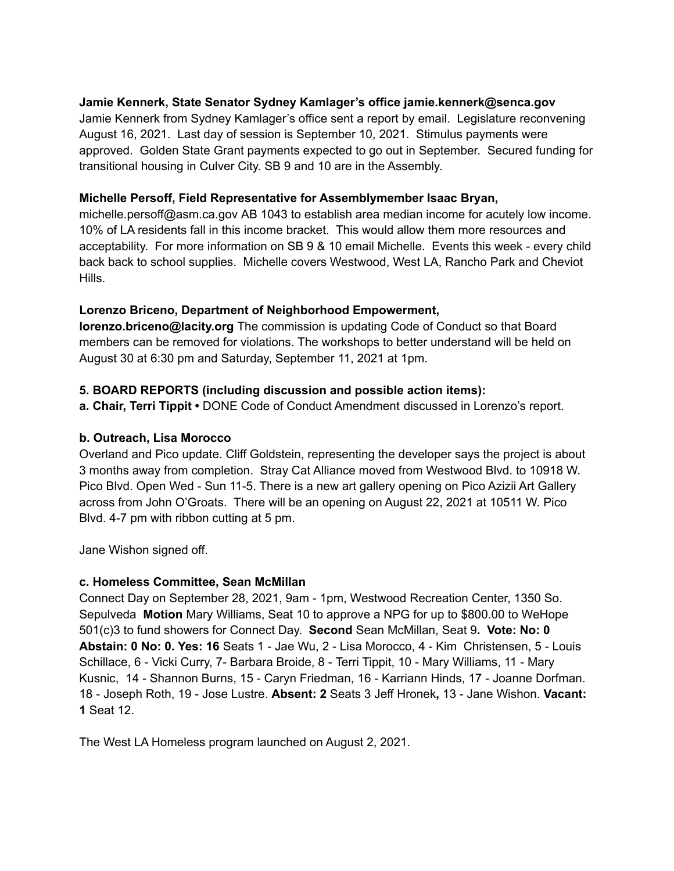## **Jamie Kennerk, State Senator Sydney Kamlager's office jamie.kennerk@senca.gov**

Jamie Kennerk from Sydney Kamlager's office sent a report by email. Legislature reconvening August 16, 2021. Last day of session is September 10, 2021. Stimulus payments were approved. Golden State Grant payments expected to go out in September. Secured funding for transitional housing in Culver City. SB 9 and 10 are in the Assembly.

#### **Michelle Persoff, Field Representative for Assemblymember Isaac Bryan,**

michelle.persoff@asm.ca.gov AB 1043 to establish area median income for acutely low income. 10% of LA residents fall in this income bracket. This would allow them more resources and acceptability. For more information on SB 9 & 10 email Michelle. Events this week - every child back back to school supplies. Michelle covers Westwood, West LA, Rancho Park and Cheviot Hills.

## **Lorenzo Briceno, Department of Neighborhood Empowerment,**

**lorenzo.briceno@lacity.org** The commission is updating Code of Conduct so that Board members can be removed for violations. The workshops to better understand will be held on August 30 at 6:30 pm and Saturday, September 11, 2021 at 1pm.

## **5. BOARD REPORTS (including discussion and possible action items):**

**a. Chair, Terri Tippit •** DONE Code of Conduct Amendment discussed in Lorenzo's report.

#### **b. Outreach, Lisa Morocco**

Overland and Pico update. Cliff Goldstein, representing the developer says the project is about 3 months away from completion. Stray Cat Alliance moved from Westwood Blvd. to 10918 W. Pico Blvd. Open Wed - Sun 11-5. There is a new art gallery opening on Pico Azizii Art Gallery across from John O'Groats. There will be an opening on August 22, 2021 at 10511 W. Pico Blvd. 4-7 pm with ribbon cutting at 5 pm.

Jane Wishon signed off.

#### **c. Homeless Committee, Sean McMillan**

Connect Day on September 28, 2021, 9am - 1pm, Westwood Recreation Center, 1350 So. Sepulveda **Motion** Mary Williams, Seat 10 to approve a NPG for up to \$800.00 to WeHope 501(c)3 to fund showers for Connect Day. **Second** Sean McMillan, Seat 9**. Vote: No: 0 Abstain: 0 No: 0. Yes: 16** Seats 1 - Jae Wu, 2 - Lisa Morocco, 4 - Kim Christensen, 5 - Louis Schillace, 6 - Vicki Curry, 7- Barbara Broide, 8 - Terri Tippit, 10 - Mary Williams, 11 - Mary Kusnic, 14 - Shannon Burns, 15 - Caryn Friedman, 16 - Karriann Hinds, 17 - Joanne Dorfman. 18 - Joseph Roth, 19 - Jose Lustre. **Absent: 2** Seats 3 Jeff Hronek**,** 13 - Jane Wishon. **Vacant: 1** Seat 12.

The West LA Homeless program launched on August 2, 2021.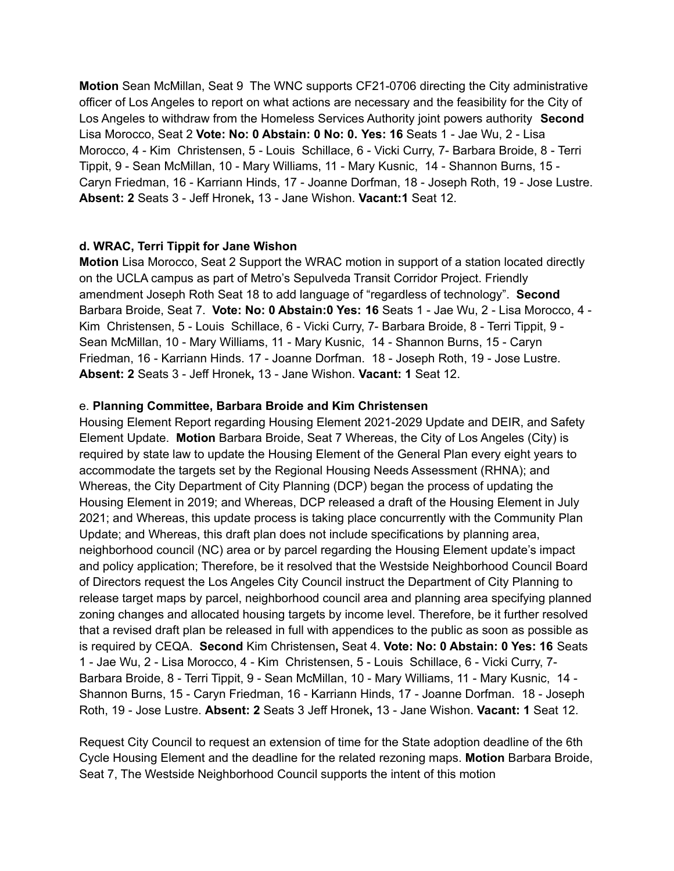**Motion** Sean McMillan, Seat 9 The WNC supports CF21-0706 directing the City administrative officer of Los Angeles to report on what actions are necessary and the feasibility for the City of Los Angeles to withdraw from the Homeless Services Authority joint powers authority **Second** Lisa Morocco, Seat 2 **Vote: No: 0 Abstain: 0 No: 0. Yes: 16** Seats 1 - Jae Wu, 2 - Lisa Morocco, 4 - Kim Christensen, 5 - Louis Schillace, 6 - Vicki Curry, 7- Barbara Broide, 8 - Terri Tippit, 9 - Sean McMillan, 10 - Mary Williams, 11 - Mary Kusnic, 14 - Shannon Burns, 15 - Caryn Friedman, 16 - Karriann Hinds, 17 - Joanne Dorfman, 18 - Joseph Roth, 19 - Jose Lustre. **Absent: 2** Seats 3 - Jeff Hronek**,** 13 - Jane Wishon. **Vacant:1** Seat 12.

#### **d. WRAC, Terri Tippit for Jane Wishon**

**Motion** Lisa Morocco, Seat 2 Support the WRAC motion in support of a station located directly on the UCLA campus as part of Metro's Sepulveda Transit Corridor Project. Friendly amendment Joseph Roth Seat 18 to add language of "regardless of technology". **Second** Barbara Broide, Seat 7. **Vote: No: 0 Abstain:0 Yes: 16** Seats 1 - Jae Wu, 2 - Lisa Morocco, 4 - Kim Christensen, 5 - Louis Schillace, 6 - Vicki Curry, 7- Barbara Broide, 8 - Terri Tippit, 9 - Sean McMillan, 10 - Mary Williams, 11 - Mary Kusnic, 14 - Shannon Burns, 15 - Caryn Friedman, 16 - Karriann Hinds. 17 - Joanne Dorfman. 18 - Joseph Roth, 19 - Jose Lustre. **Absent: 2** Seats 3 - Jeff Hronek**,** 13 - Jane Wishon. **Vacant: 1** Seat 12.

## e. **Planning Committee, Barbara Broide and Kim Christensen**

Housing Element Report regarding Housing Element 2021-2029 Update and DEIR, and Safety Element Update. **Motion** Barbara Broide, Seat 7 Whereas, the City of Los Angeles (City) is required by state law to update the Housing Element of the General Plan every eight years to accommodate the targets set by the Regional Housing Needs Assessment (RHNA); and Whereas, the City Department of City Planning (DCP) began the process of updating the Housing Element in 2019; and Whereas, DCP released a draft of the Housing Element in July 2021; and Whereas, this update process is taking place concurrently with the Community Plan Update; and Whereas, this draft plan does not include specifications by planning area, neighborhood council (NC) area or by parcel regarding the Housing Element update's impact and policy application; Therefore, be it resolved that the Westside Neighborhood Council Board of Directors request the Los Angeles City Council instruct the Department of City Planning to release target maps by parcel, neighborhood council area and planning area specifying planned zoning changes and allocated housing targets by income level. Therefore, be it further resolved that a revised draft plan be released in full with appendices to the public as soon as possible as is required by CEQA. **Second** Kim Christensen**,** Seat 4. **Vote: No: 0 Abstain: 0 Yes: 16** Seats 1 - Jae Wu, 2 - Lisa Morocco, 4 - Kim Christensen, 5 - Louis Schillace, 6 - Vicki Curry, 7- Barbara Broide, 8 - Terri Tippit, 9 - Sean McMillan, 10 - Mary Williams, 11 - Mary Kusnic, 14 - Shannon Burns, 15 - Caryn Friedman, 16 - Karriann Hinds, 17 - Joanne Dorfman. 18 - Joseph Roth, 19 - Jose Lustre. **Absent: 2** Seats 3 Jeff Hronek**,** 13 - Jane Wishon. **Vacant: 1** Seat 12.

Request City Council to request an extension of time for the State adoption deadline of the 6th Cycle Housing Element and the deadline for the related rezoning maps. **Motion** Barbara Broide, Seat 7, The Westside Neighborhood Council supports the intent of this motion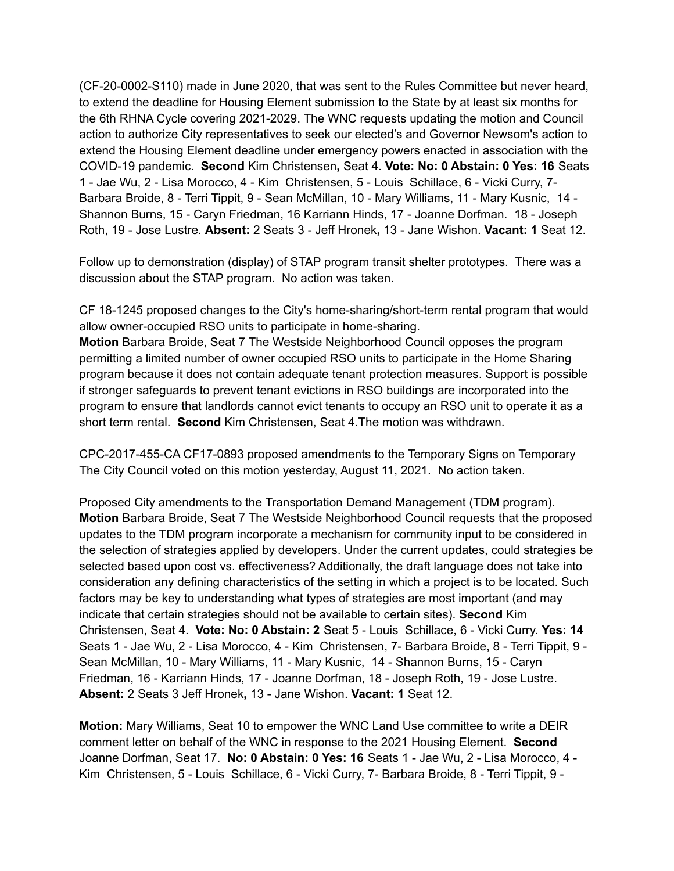(CF-20-0002-S110) made in June 2020, that was sent to the Rules Committee but never heard, to extend the deadline for Housing Element submission to the State by at least six months for the 6th RHNA Cycle covering 2021-2029. The WNC requests updating the motion and Council action to authorize City representatives to seek our elected's and Governor Newsom's action to extend the Housing Element deadline under emergency powers enacted in association with the COVID-19 pandemic. **Second** Kim Christensen**,** Seat 4. **Vote: No: 0 Abstain: 0 Yes: 16** Seats 1 - Jae Wu, 2 - Lisa Morocco, 4 - Kim Christensen, 5 - Louis Schillace, 6 - Vicki Curry, 7- Barbara Broide, 8 - Terri Tippit, 9 - Sean McMillan, 10 - Mary Williams, 11 - Mary Kusnic, 14 - Shannon Burns, 15 - Caryn Friedman, 16 Karriann Hinds, 17 - Joanne Dorfman. 18 - Joseph Roth, 19 - Jose Lustre. **Absent:** 2 Seats 3 - Jeff Hronek**,** 13 - Jane Wishon. **Vacant: 1** Seat 12.

Follow up to demonstration (display) of STAP program transit shelter prototypes. There was a discussion about the STAP program. No action was taken.

CF 18-1245 proposed changes to the City's home-sharing/short-term rental program that would allow owner-occupied RSO units to participate in home-sharing.

**Motion** Barbara Broide, Seat 7 The Westside Neighborhood Council opposes the program permitting a limited number of owner occupied RSO units to participate in the Home Sharing program because it does not contain adequate tenant protection measures. Support is possible if stronger safeguards to prevent tenant evictions in RSO buildings are incorporated into the program to ensure that landlords cannot evict tenants to occupy an RSO unit to operate it as a short term rental. **Second** Kim Christensen, Seat 4.The motion was withdrawn.

CPC-2017-455-CA CF17-0893 proposed amendments to the Temporary Signs on Temporary The City Council voted on this motion yesterday, August 11, 2021. No action taken.

Proposed City amendments to the Transportation Demand Management (TDM program). **Motion** Barbara Broide, Seat 7 The Westside Neighborhood Council requests that the proposed updates to the TDM program incorporate a mechanism for community input to be considered in the selection of strategies applied by developers. Under the current updates, could strategies be selected based upon cost vs. effectiveness? Additionally, the draft language does not take into consideration any defining characteristics of the setting in which a project is to be located. Such factors may be key to understanding what types of strategies are most important (and may indicate that certain strategies should not be available to certain sites). **Second** Kim Christensen, Seat 4. **Vote: No: 0 Abstain: 2** Seat 5 - Louis Schillace, 6 - Vicki Curry. **Yes: 14** Seats 1 - Jae Wu, 2 - Lisa Morocco, 4 - Kim Christensen, 7- Barbara Broide, 8 - Terri Tippit, 9 - Sean McMillan, 10 - Mary Williams, 11 - Mary Kusnic, 14 - Shannon Burns, 15 - Caryn Friedman, 16 - Karriann Hinds, 17 - Joanne Dorfman, 18 - Joseph Roth, 19 - Jose Lustre. **Absent:** 2 Seats 3 Jeff Hronek**,** 13 - Jane Wishon. **Vacant: 1** Seat 12.

**Motion:** Mary Williams, Seat 10 to empower the WNC Land Use committee to write a DEIR comment letter on behalf of the WNC in response to the 2021 Housing Element. **Second** Joanne Dorfman, Seat 17. **No: 0 Abstain: 0 Yes: 16** Seats 1 - Jae Wu, 2 - Lisa Morocco, 4 - Kim Christensen, 5 - Louis Schillace, 6 - Vicki Curry, 7- Barbara Broide, 8 - Terri Tippit, 9 -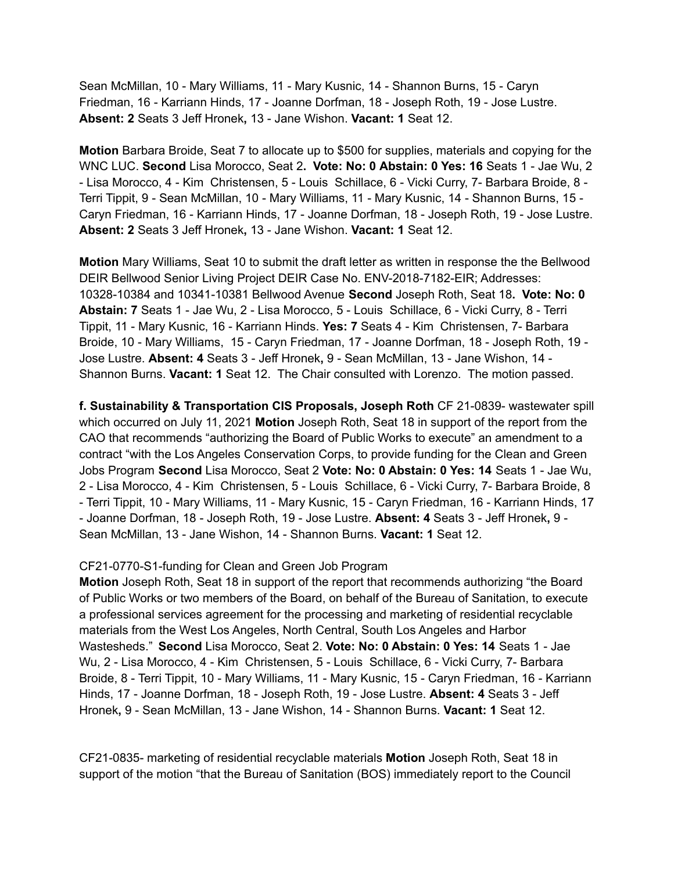Sean McMillan, 10 - Mary Williams, 11 - Mary Kusnic, 14 - Shannon Burns, 15 - Caryn Friedman, 16 - Karriann Hinds, 17 - Joanne Dorfman, 18 - Joseph Roth, 19 - Jose Lustre. **Absent: 2** Seats 3 Jeff Hronek**,** 13 - Jane Wishon. **Vacant: 1** Seat 12.

**Motion** Barbara Broide, Seat 7 to allocate up to \$500 for supplies, materials and copying for the WNC LUC. **Second** Lisa Morocco, Seat 2**. Vote: No: 0 Abstain: 0 Yes: 16** Seats 1 - Jae Wu, 2 - Lisa Morocco, 4 - Kim Christensen, 5 - Louis Schillace, 6 - Vicki Curry, 7- Barbara Broide, 8 - Terri Tippit, 9 - Sean McMillan, 10 - Mary Williams, 11 - Mary Kusnic, 14 - Shannon Burns, 15 - Caryn Friedman, 16 - Karriann Hinds, 17 - Joanne Dorfman, 18 - Joseph Roth, 19 - Jose Lustre. **Absent: 2** Seats 3 Jeff Hronek**,** 13 - Jane Wishon. **Vacant: 1** Seat 12.

**Motion** Mary Williams, Seat 10 to submit the draft letter as written in response the the Bellwood DEIR Bellwood Senior Living Project DEIR Case No. ENV-2018-7182-EIR; Addresses: 10328-10384 and 10341-10381 Bellwood Avenue **Second** Joseph Roth, Seat 18**. Vote: No: 0 Abstain: 7** Seats 1 - Jae Wu, 2 - Lisa Morocco, 5 - Louis Schillace, 6 - Vicki Curry, 8 - Terri Tippit, 11 - Mary Kusnic, 16 - Karriann Hinds. **Yes: 7** Seats 4 - Kim Christensen, 7- Barbara Broide, 10 - Mary Williams, 15 - Caryn Friedman, 17 - Joanne Dorfman, 18 - Joseph Roth, 19 - Jose Lustre. **Absent: 4** Seats 3 - Jeff Hronek**,** 9 - Sean McMillan, 13 - Jane Wishon, 14 - Shannon Burns. **Vacant: 1** Seat 12. The Chair consulted with Lorenzo. The motion passed.

**f. Sustainability & Transportation CIS Proposals, Joseph Roth** CF 21-0839- wastewater spill which occurred on July 11, 2021 **Motion** Joseph Roth, Seat 18 in support of the report from the CAO that recommends "authorizing the Board of Public Works to execute" an amendment to a contract "with the Los Angeles Conservation Corps, to provide funding for the Clean and Green Jobs Program **Second** Lisa Morocco, Seat 2 **Vote: No: 0 Abstain: 0 Yes: 14** Seats 1 - Jae Wu, 2 - Lisa Morocco, 4 - Kim Christensen, 5 - Louis Schillace, 6 - Vicki Curry, 7- Barbara Broide, 8 - Terri Tippit, 10 - Mary Williams, 11 - Mary Kusnic, 15 - Caryn Friedman, 16 - Karriann Hinds, 17 - Joanne Dorfman, 18 - Joseph Roth, 19 - Jose Lustre. **Absent: 4** Seats 3 - Jeff Hronek**,** 9 - Sean McMillan, 13 - Jane Wishon, 14 - Shannon Burns. **Vacant: 1** Seat 12.

#### CF21-0770-S1-funding for Clean and Green Job Program

**Motion** Joseph Roth, Seat 18 in support of the report that recommends authorizing "the Board of Public Works or two members of the Board, on behalf of the Bureau of Sanitation, to execute a professional services agreement for the processing and marketing of residential recyclable materials from the West Los Angeles, North Central, South Los Angeles and Harbor Wastesheds." **Second** Lisa Morocco, Seat 2. **Vote: No: 0 Abstain: 0 Yes: 14** Seats 1 - Jae Wu, 2 - Lisa Morocco, 4 - Kim Christensen, 5 - Louis Schillace, 6 - Vicki Curry, 7- Barbara Broide, 8 - Terri Tippit, 10 - Mary Williams, 11 - Mary Kusnic, 15 - Caryn Friedman, 16 - Karriann Hinds, 17 - Joanne Dorfman, 18 - Joseph Roth, 19 - Jose Lustre. **Absent: 4** Seats 3 - Jeff Hronek**,** 9 - Sean McMillan, 13 - Jane Wishon, 14 - Shannon Burns. **Vacant: 1** Seat 12.

CF21-0835- marketing of residential recyclable materials **Motion** Joseph Roth, Seat 18 in support of the motion "that the Bureau of Sanitation (BOS) immediately report to the Council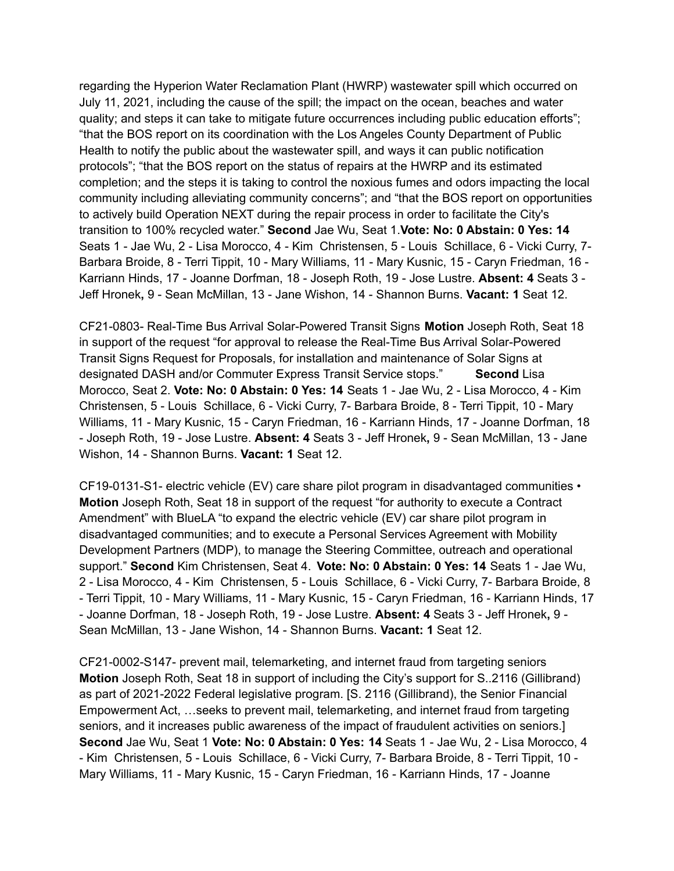regarding the Hyperion Water Reclamation Plant (HWRP) wastewater spill which occurred on July 11, 2021, including the cause of the spill; the impact on the ocean, beaches and water quality; and steps it can take to mitigate future occurrences including public education efforts"; "that the BOS report on its coordination with the Los Angeles County Department of Public Health to notify the public about the wastewater spill, and ways it can public notification protocols"; "that the BOS report on the status of repairs at the HWRP and its estimated completion; and the steps it is taking to control the noxious fumes and odors impacting the local community including alleviating community concerns"; and "that the BOS report on opportunities to actively build Operation NEXT during the repair process in order to facilitate the City's transition to 100% recycled water." **Second** Jae Wu, Seat 1.**Vote: No: 0 Abstain: 0 Yes: 14** Seats 1 - Jae Wu, 2 - Lisa Morocco, 4 - Kim Christensen, 5 - Louis Schillace, 6 - Vicki Curry, 7- Barbara Broide, 8 - Terri Tippit, 10 - Mary Williams, 11 - Mary Kusnic, 15 - Caryn Friedman, 16 - Karriann Hinds, 17 - Joanne Dorfman, 18 - Joseph Roth, 19 - Jose Lustre. **Absent: 4** Seats 3 - Jeff Hronek**,** 9 - Sean McMillan, 13 - Jane Wishon, 14 - Shannon Burns. **Vacant: 1** Seat 12.

CF21-0803- Real-Time Bus Arrival Solar-Powered Transit Signs **Motion** Joseph Roth, Seat 18 in support of the request "for approval to release the Real-Time Bus Arrival Solar-Powered Transit Signs Request for Proposals, for installation and maintenance of Solar Signs at designated DASH and/or Commuter Express Transit Service stops." **Second** Lisa Morocco, Seat 2. **Vote: No: 0 Abstain: 0 Yes: 14** Seats 1 - Jae Wu, 2 - Lisa Morocco, 4 - Kim Christensen, 5 - Louis Schillace, 6 - Vicki Curry, 7- Barbara Broide, 8 - Terri Tippit, 10 - Mary Williams, 11 - Mary Kusnic, 15 - Caryn Friedman, 16 - Karriann Hinds, 17 - Joanne Dorfman, 18 - Joseph Roth, 19 - Jose Lustre. **Absent: 4** Seats 3 - Jeff Hronek**,** 9 - Sean McMillan, 13 - Jane Wishon, 14 - Shannon Burns. **Vacant: 1** Seat 12.

CF19-0131-S1- electric vehicle (EV) care share pilot program in disadvantaged communities • **Motion** Joseph Roth, Seat 18 in support of the request "for authority to execute a Contract Amendment" with BlueLA "to expand the electric vehicle (EV) car share pilot program in disadvantaged communities; and to execute a Personal Services Agreement with Mobility Development Partners (MDP), to manage the Steering Committee, outreach and operational support." **Second** Kim Christensen, Seat 4. **Vote: No: 0 Abstain: 0 Yes: 14** Seats 1 - Jae Wu, 2 - Lisa Morocco, 4 - Kim Christensen, 5 - Louis Schillace, 6 - Vicki Curry, 7- Barbara Broide, 8 - Terri Tippit, 10 - Mary Williams, 11 - Mary Kusnic, 15 - Caryn Friedman, 16 - Karriann Hinds, 17 - Joanne Dorfman, 18 - Joseph Roth, 19 - Jose Lustre. **Absent: 4** Seats 3 - Jeff Hronek**,** 9 - Sean McMillan, 13 - Jane Wishon, 14 - Shannon Burns. **Vacant: 1** Seat 12.

CF21-0002-S147- prevent mail, telemarketing, and internet fraud from targeting seniors **Motion** Joseph Roth, Seat 18 in support of including the City's support for S..2116 (Gillibrand) as part of 2021-2022 Federal legislative program. [S. 2116 (Gillibrand), the Senior Financial Empowerment Act, …seeks to prevent mail, telemarketing, and internet fraud from targeting seniors, and it increases public awareness of the impact of fraudulent activities on seniors.] **Second** Jae Wu, Seat 1 **Vote: No: 0 Abstain: 0 Yes: 14** Seats 1 - Jae Wu, 2 - Lisa Morocco, 4 - Kim Christensen, 5 - Louis Schillace, 6 - Vicki Curry, 7- Barbara Broide, 8 - Terri Tippit, 10 - Mary Williams, 11 - Mary Kusnic, 15 - Caryn Friedman, 16 - Karriann Hinds, 17 - Joanne